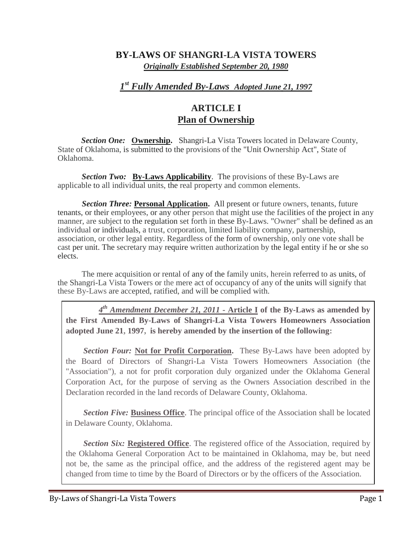### **BY-LAWS OF SHANGRI-LA VISTA TOWERS** *Originally Established September 20, 1980*

# *1 st Fully Amended By-Laws Adopted June 21, 1997*

## **ARTICLE I Plan of Ownership**

*Section One:* **Ownership.** Shangri-La Vista Towers located in Delaware County, State of Oklahoma, is submitted to the provisions of the "Unit Ownership Act", State of Oklahoma.

*Section Two:* **By-Laws Applicability**. The provisions of these By-Laws are applicable to all individual units, the real property and common elements.

**Section Three: Personal Application.** All present or future owners, tenants, future tenants, or their employees, or any other person that might use the facilities of the project in any manner, are subject to the regulation set forth in these By-Laws. "Owner" shall be defined as an individual or individuals, a trust, corporation, limited liability company, partnership, association, or other legal entity. Regardless of the form of ownership, only one vote shall be cast per unit. The secretary may require written authorization by the legal entity if he or she so elects.

The mere acquisition or rental of any of the family units, herein referred to as units, of the Shangri-La Vista Towers or the mere act of occupancy of any of the units will signify that these By-Laws are accepted, ratified, and will be complied with.

*4 th Amendment December 21, 2011* **- Article I of the By-Laws as amended by the First Amended By-Laws of Shangri-La Vista Towers Homeowners Association adopted June 21, 1997, is hereby amended by the insertion of the following:**

*Section Four:* **Not for Profit Corporation.** These By-Laws have been adopted by the Board of Directors of Shangri-La Vista Towers Homeowners Association (the "Association"), a not for profit corporation duly organized under the Oklahoma General Corporation Act, for the purpose of serving as the Owners Association described in the Declaration recorded in the land records of Delaware County, Oklahoma.

**Section Five: Business Office.** The principal office of the Association shall be located in Delaware County, Oklahoma.

**Section Six: Registered Office**. The registered office of the Association, required by the Oklahoma General Corporation Act to be maintained in Oklahoma, may be, but need not be, the same as the principal office, and the address of the registered agent may be changed from time to time by the Board of Directors or by the officers of the Association.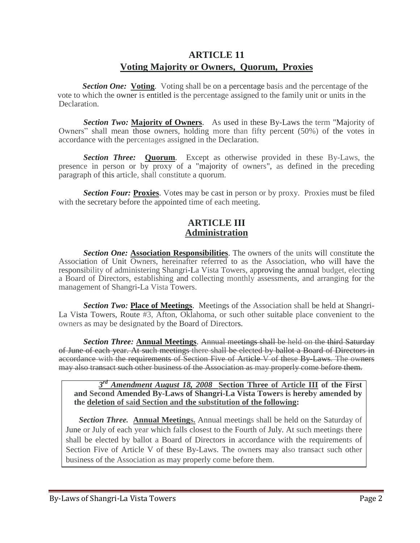## **ARTICLE 11 Voting Majority or Owners, Quorum, Proxies**

*Section One:* Voting. Voting shall be on a percentage basis and the percentage of the vote to which the owner is entitled is the percentage assigned to the family unit or units in the Declaration.

**Section Two: Majority of Owners**. As used in these By-Laws the term "Majority of Owners" shall mean those owners, holding more than fifty percent (50%) of the votes in accordance with the percentages assigned in the Declaration.

**Section Three: Quorum**. Except as otherwise provided in these By-Laws, the presence in person or by proxy of a "majority of owners", as defined in the preceding paragraph of this article, shall constitute a quorum.

**Section Four: Proxies.** Votes may be cast in person or by proxy. Proxies must be filed with the secretary before the appointed time of each meeting.

#### **ARTICLE III Administration**

**Section One: Association Responsibilities**. The owners of the units will constitute the Association of Unit Owners, hereinafter referred to as the Association, who will have the responsibility of administering Shangri-La Vista Towers, approving the annual budget, electing a Board of Directors, establishing and collecting monthly assessments, and arranging for the management of Shangri-La Vista Towers.

*Section Two:* **Place of Meetings**. Meetings of the Association shall be held at Shangri-La Vista Towers, Route #3, Afton, Oklahoma, or such other suitable place convenient to the owners as may be designated by the Board of Directors.

*Section Three:* **Annual Meetings**. Annual meetings shall be held on the third Saturday of June of each year. At such meetings there shall be elected by ballot a Board of Directors in accordance with the requirements of Section Five of Article V of these By Laws. The owners may also transact such other business of the Association as may properly come before them.

#### *3 rd Amendment August 18, 2008* **Section Three of Article III of the First and Second Amended By-Laws of Shangri-La Vista Towers is hereby amended by the deletion of said Section and the substitution of the following:**

*Section Three.* **Annual Meetings.** Annual meetings shall be held on the Saturday of June or July of each year which falls closest to the Fourth of July. At such meetings there shall be elected by ballot a Board of Directors in accordance with the requirements of Section Five of Article V of these By-Laws. The owners may also transact such other business of the Association as may properly come before them.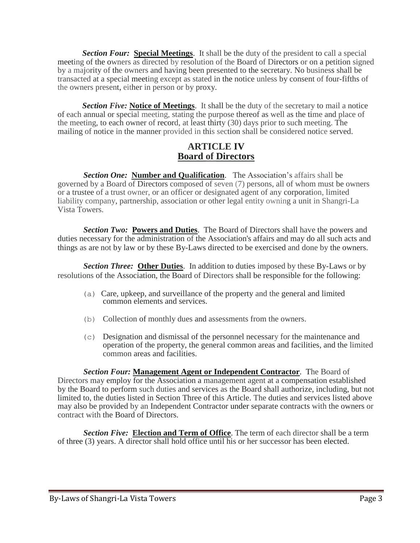*Section Four:* **Special Meetings**. It shall be the duty of the president to call a special meeting of the owners as directed by resolution of the Board of Directors or on a petition signed by a majority of the owners and having been presented to the secretary. No business shall be transacted at a special meeting except as stated in the notice unless by consent of four-fifths of the owners present, either in person or by proxy.

*Section Five:* **Notice of Meetings**. It shall be the duty of the secretary to mail a notice of each annual or special meeting, stating the purpose thereof as well as the time and place of the meeting, to each owner of record, at least thirty (30) days prior to such meeting. The mailing of notice in the manner provided in this section shall be considered notice served.

### **ARTICLE IV Board of Directors**

*Section One:* **Number and Qualification**. The Association's affairs shall be governed by a Board of Directors composed of seven (7) persons, all of whom must be owners or a trustee of a trust owner, or an officer or designated agent of any corporation, limited liability company, partnership, association or other legal entity owning a unit in Shangri-La Vista Towers.

**Section** *Two***: Powers and Duties**. The Board of Directors shall have the powers and duties necessary for the administration of the Association's affairs and may do all such acts and things as are not by law or by these By-Laws directed to be exercised and done by the owners.

*Section Three:* **Other Duties**. In addition to duties imposed by these By-Laws or by resolutions of the Association, the Board of Directors shall be responsible for the following:

- (a) Care, upkeep, and surveillance of the property and the general and limited common elements and services.
- (b) Collection of monthly dues and assessments from the owners.
- (c) Designation and dismissal of the personnel necessary for the maintenance and operation of the property, the general common areas and facilities, and the limited common areas and facilities.

*Section Four:* **Management Agent or Independent Contractor**. The Board of Directors may employ for the Association a management agent at a compensation established by the Board to perform such duties and services as the Board shall authorize, including, but not limited to, the duties listed in Section Three of this Article. The duties and services listed above may also be provided by an Independent Contractor under separate contracts with the owners or contract with the Board of Directors.

*Section Five:* **Election and Term of Office**. The term of each director shall be a term of three (3) years. A director shall hold office until his or her successor has been elected.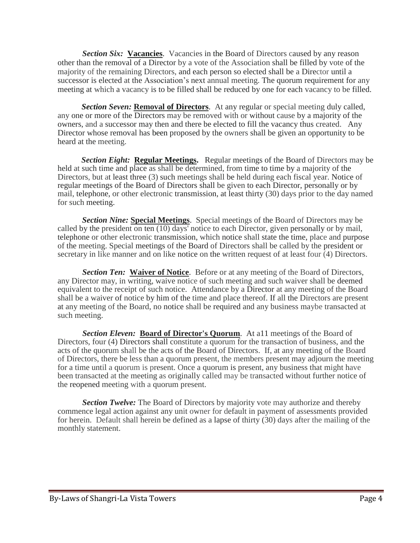*Section Six:* **Vacancies**. Vacancies in the Board of Directors caused by any reason other than the removal of a Director by a vote of the Association shall be filled by vote of the majority of the remaining Directors, and each person so elected shall be a Director until a successor is elected at the Association's next annual meeting. The quorum requirement for any meeting at which a vacancy is to be filled shall be reduced by one for each vacancy to be filled.

**Section Seven: Removal of Directors.** At any regular or special meeting duly called, any one or more of the Directors may be removed with or without cause by a majority of the owners, and a successor may then and there be elected to fill the vacancy thus created. Any Director whose removal has been proposed by the owners shall be given an opportunity to be heard at the meeting.

held at such time and place as shall be determined, from time to time by a majority of the *Section Eight:* **Regular Meetings.** Regular meetings of the Board of Directors may be Directors, but at least three (3) such meetings shall be held during each fiscal year. Notice of regular meetings of the Board of Directors shall be given to each Director, personally or by mail, telephone, or other electronic transmission, at least thirty (30) days prior to the day named for such meeting.

*Section Nine:* **Special Meetings**. Special meetings of the Board of Directors may be called by the president on ten (10) days' notice to each Director, given personally or by mail, telephone or other electronic transmission, which notice shall state the time, place and purpose of the meeting. Special meetings of the Board of Directors shall be called by the president or secretary in like manner and on like notice on the written request of at least four  $\overline{4}$ ) Directors.

*Section Ten:* **Waiver of Notice**. Before or at any meeting of the Board of Directors, any Director may, in writing, waive notice of such meeting and such waiver shall be deemed equivalent to the receipt of such notice. Attendance by a Director at any meeting of the Board shall be a waiver of notice by him of the time and place thereof. If all the Directors are present at any meeting of the Board, no notice shall be required and any business maybe transacted at such meeting.

*Section Eleven:* **Board of Director's Quorum**. At a11 meetings of the Board of Directors, four (4) Directors shall constitute a quorum for the transaction of business, and the acts of the quorum shall be the acts of the Board of Directors. If, at any meeting of the Board of Directors, there be less than a quorum present, the members present may adjourn the meeting for a time until a quorum is present. Once a quorum is present, any business that might have been transacted at the meeting as originally called may be transacted without further notice of the reopened meeting with a quorum present.

*Section Twelve:* The Board of Directors by majority vote may authorize and thereby commence legal action against any unit owner for default in payment of assessments provided for herein. Default shall herein be defined as a lapse of thirty (30) days after the mailing of the monthly statement.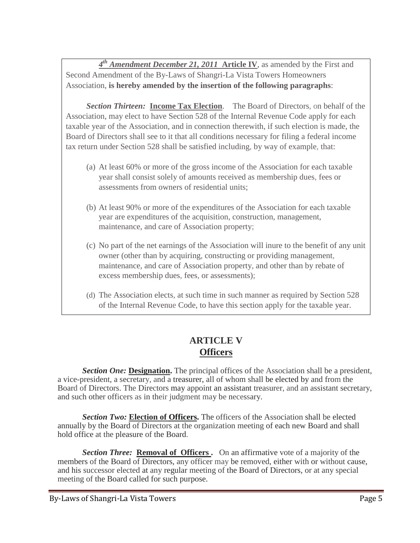*4 th Amendment December 21, 2011* **Article IV**, as amended by the First and Second Amendment of the By-Laws of Shangri-La Vista Towers Homeowners Association, **is hereby amended by the insertion of the following paragraphs**:

*Section Thirteen:* **Income Tax Election**. The Board of Directors, on behalf of the Association, may elect to have Section 528 of the Internal Revenue Code apply for each taxable year of the Association, and in connection therewith, if such election is made, the Board of Directors shall see to it that all conditions necessary for filing a federal income tax return under Section 528 shall be satisfied including, by way of example, that:

- (a) At least 60% or more of the gross income of the Association for each taxable year shall consist solely of amounts received as membership dues, fees or assessments from owners of residential units;
- (b) At least 90% or more of the expenditures of the Association for each taxable year are expenditures of the acquisition, construction, management, maintenance, and care of Association property;
- (c) No part of the net earnings of the Association will inure to the benefit of any unit owner (other than by acquiring, constructing or providing management, maintenance, and care of Association property, and other than by rebate of excess membership dues, fees, or assessments);
- (d) The Association elects, at such time in such manner as required by Section 528 of the Internal Revenue Code, to have this section apply for the taxable year.

# **ARTICLE V Officers**

**Section One: Designation.** The principal offices of the Association shall be a president, a vice-president, a secretary, and a treasurer, all of whom shall be elected by and from the Board of Directors. The Directors may appoint an assistant treasurer, and an assistant secretary, and such other officers as in their judgment may be necessary.

**Section Two: Election of Officers.** The officers of the Association shall be elected annually by the Board of Directors at the organization meeting of each new Board and shall hold office at the pleasure of the Board.

**Section Three: Removal of Officers.** On an affirmative vote of a majority of the members of the Board of Directors, any officer may be removed, either with or without cause, and his successor elected at any regular meeting of the Board of Directors, or at any special meeting of the Board called for such purpose.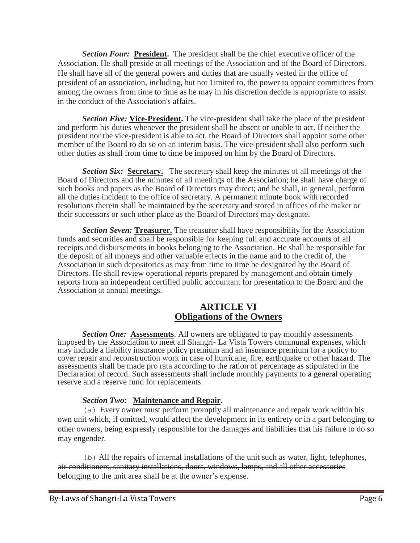*Section Four:* **President.** The president shall be the chief executive officer of the Association. He shall preside at all meetings of the Association and of the Board of Directors. He shall have all of the general powers and duties that are usually vested in the office of president of an association, including, but not 1imited to, the power to appoint committees from among the owners from time to time as he may in his discretion decide is appropriate to assist in the conduct of the Association's affairs.

*Section Five:* **Vice-President.** The vice-president shall take the place of the president and perform his duties whenever the president shall be absent or unable to act. If neither the president nor the vice-president is able to act, the Board of Directors shall appoint some other member of the Board to do so on an interim basis. The vice-president shall also perform such other duties as shall from time to time be imposed on him by the Board of Directors.

**Section Six: Secretary.** The secretary shall keep the minutes of all meetings of the Board of Directors and the minutes of all meetings of the Association; he shall have charge of such books and papers as the Board of Directors may direct; and he shall, in general, perform all the duties incident to the office of secretary. A permanent minute book with recorded resolutions therein shall be maintained by the secretary and stored in offices of the maker or their successors or such other place as the Board of Directors may designate.

*Section Seven:* **Treasurer.** The treasurer shall have responsibility for the Association funds and securities and shall be responsible for keeping full and accurate accounts of all receipts and disbursements in books belonging to the Association. He shall be responsible for the deposit of all moneys and other valuable effects in the name and to the credit of, the Association in such depositories as may from time to time be designated by the Board of Directors. He shall review operational reports prepared by management and obtain timely reports from an independent certified public accountant for presentation to the Board and the Association at annual meetings.

### **ARTICLE VI Obligations of the Owners**

**Section One: Assessments.** All owners are obligated to pay monthly assessments imposed by the Association to meet all Shangri- La Vista Towers communal expenses, which may include a liability insurance policy premium and an insurance premium for a policy to cover repair and reconstruction work in case of hurricane, fire, earthquake or other hazard. The assessments shall be made pro rata according to the ration of percentage as stipulated in the Declaration of record. Such assessments shall include monthly payments to a general operating reserve and a reserve fund for replacements.

#### *Section Two:* **Maintenance and Repair.**

(a) Every owner must perform promptly all maintenance and repair work within his own unit which, if omitted, would affect the development in its entirety or in a part belonging to other owners, being expressly responsible for the damages and liabilities that his failure to do so may engender.

(b) All the repairs of internal installations of the unit such as water, light, telephones, air conditioners, sanitary installations, doors, windows, lamps, and all other accessories belonging to the unit area shall be at the owner's expense.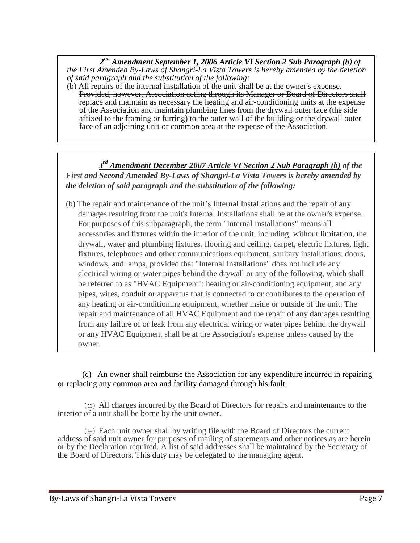*2 nd Amendment September 1, 2006 Article VI Section 2 Sub Paragraph (b) of the First Amended By-Laws of Shangri-La Vista Towers is hereby amended by the deletion of said paragraph and the substitution of the following:*

(b) All repairs of the internal installation of the unit shall be at the owner's expense. Provided, however, Association acting through its Manager or Board of Directors shall replace and maintain as necessary the heating and air-conditioning units at the expense of the Association and maintain plumbing lines from the drywall outer face (the side affixed to the framing or furring) to the outer wall of the building or the drywall outer face of an adjoining unit or common area at the expense of the Association.

*3 rd Amendment December 2007 Article VI Section 2 Sub Paragraph (b) of the First and Second Amended By-Laws of Shangri-La Vista Towers is hereby amended by the deletion of said paragraph and the substitution of the following:*

0NT  $\mathcal{Z}$ damages resulting from the unit's Internal Installations shall be at the owner's expense. (b) The repair and maintenance of the unit's Internal Installations and the repair of any For purposes of this subparagraph, the term "Internal Installations" means all accessories and fixtures within the interior of the unit, including, without limitation, the drywall, water and plumbing fixtures, flooring and ceiling, carpet, electric fixtures, light fixtures, telephones and other communications equipment, sanitary installations, doors, windows, and lamps, provided that "Internal Installations" does not include any electrical wiring or water pipes behind the drywall or any of the following, which shall be referred to as "HVAC Equipment": heating or air-conditioning equipment, and any pipes, wires, conduit or apparatus that is connected to or contributes to the operation of any heating or air-conditioning equipment, whether inside or outside of the unit. The repair and maintenance of all HVAC Equipment and the repair of any damages resulting from any failure of or leak from any electrical wiring or water pipes behind the drywall or any HVAC Equipment shall be at the Association's expense unless caused by the owner.

(c) An owner shall reimburse the Association for any expenditure incurred in repairing or replacing any common area and facility damaged through his fault.

(d) All charges incurred by the Board of Directors for repairs and maintenance to the interior of a unit shall be borne by the unit owner.

(e) Each unit owner shall by writing file with the Board of Directors the current address of said unit owner for purposes of mailing of statements and other notices as are herein or by the Declaration required. A list of said addresses shall be maintained by the Secretary of the Board of Directors. This duty may be delegated to the managing agent.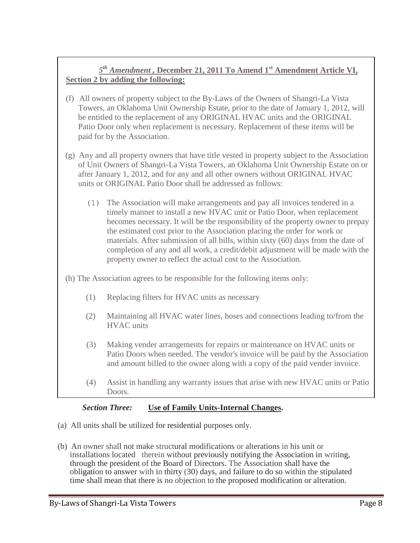### *5 th Amendment ,* **December 21, 2011 To Amend 1st Amendment Article VI, Section 2 by adding the following:**

- (f) All owners of property subject to the By-Laws of the Owners of Shangri-La Vista Towers, an Oklahoma Unit Ownership Estate, prior to the date of January 1, 2012, will be entitled to the replacement of any ORIGINAL HVAC units and the ORIGINAL Patio Door only when replacement is necessary. Replacement of these items will be paid for by the Association.
- (g) Any and all property owners that have title vested in property subject to the Association of Unit Owners of Shangri-La Vista Towers, an Oklahoma Unit Ownership Estate on or after January 1, 2012, and for any and all other owners without ORIGINAL HVAC units or ORIGINAL Patio Door shall be addressed as follows:
	- (1) The Association will make arrangements and pay all invoices tendered in a timely manner to install a new HVAC unit or Patio Door, when replacement becomes necessary. It will be the responsibility of the property owner to prepay the estimated cost prior to the Association placing the order for work or materials. After submission of all bills, within sixty (60) days from the date of completion of any and all work, a credit/debit adjustment will be made with the property owner to reflect the actual cost to the Association.
- (h) The Association agrees to be responsible for the following items only:
	- (1) Replacing filters for HVAC units as necessary
	- (2) Maintaining all HVAC water lines, hoses and connections leading to/from the HVAC units
	- (3) Making vender arrangements for repairs or maintenance on HVAC units or Patio Doors when needed. The vendor's invoice will be paid by the Association and amount billed to the owner along with a copy of the paid vender invoice.
	- (4) Assist in handling any warranty issues that arise with new HVAC units or Patio Doors.

### *Section Three:* **Use of Family Units-Internal Changes.**

- (a) All units shall be utilized for residential purposes only.
- (b) An owner shall not make structural modifications or alterations in his unit or installations located therein without previously notifying the Association in writing, through the president of the Board of Directors. The Association shall have the obligation to answer with in thirty (30) days, and failure to do so within the stipulated time shall mean that there is no objection to the proposed modification or alteration.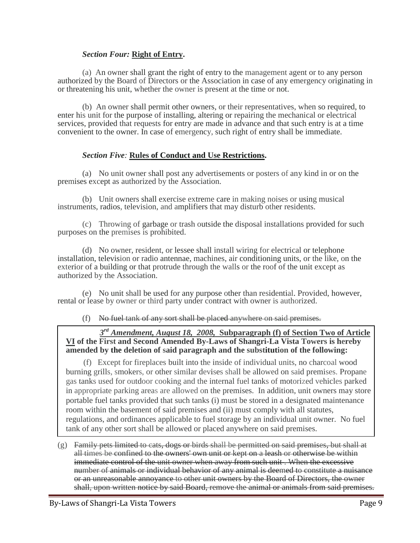#### *Section Four:* **Right of Entry.**

(a) An owner shall grant the right of entry to the management agent or to any person authorized by the Board of Directors or the Association in case of any emergency originating in or threatening his unit, whether the owner is present at the time or not.

(b) An owner shall permit other owners, or their representatives, when so required, to enter his unit for the purpose of installing, altering or repairing the mechanical or electrical services, provided that requests for entry are made in advance and that such entry is at a time convenient to the owner. In case of emergency, such right of entry shall be immediate.

#### *Section Five:* **Rules of Conduct and Use Restrictions.**

(a) No unit owner shall post any advertisements or posters of any kind in or on the premises except as authorized by the Association.

(b) Unit owners shall exercise extreme care in making noises or using musical instruments, radios, television, and amplifiers that may disturb other residents.

(c) Throwing of garbage or trash outside the disposal installations provided for such purposes on the premises is prohibited.

(d) No owner, resident, or lessee shall install wiring for electrical or telephone installation, television or radio antennae, machines, air conditioning units, or the like, on the exterior of a building or that protrude through the walls or the roof of the unit except as authorized by the Association.

(e) No unit shall be used for any purpose other than residential. Provided, however, rental or lease by owner or third party under contract with owner is authorized.

(f) No fuel tank of any sort shall be placed anywhere on said premises.

#### *3 rd Amendment, August 18, 2008,* **Subparagraph (f) of Section Two of Article VI of the First and Second Amended By-Laws of Shangri-La Vista Towers is hereby amended by the deletion of said paragraph and the substitution of the following:**

(f) Except for fireplaces built into the inside of individual units, no charcoal wood burning grills, smokers, or other similar devises shall be allowed on said premises. Propane gas tanks used for outdoor cooking and the internal fuel tanks of motorized vehicles parked in appropriate parking areas are allowed on the premises. In addition, unit owners may store portable fuel tanks provided that such tanks (i) must be stored in a designated maintenance room within the basement of said premises and (ii) must comply with all statutes, regulations, and ordinances applicable to fuel storage by an individual unit owner. No fuel tank of any other sort shall be allowed or placed anywhere on said premises.

 $(g)$  Family pets limited to cats, dogs or birds shall be permitted on said premises, but shall at all times be confined to the owners' own unit or kept on a leash or otherwise be within immediate control of the unit owner when away from such unit . When the excessive number of animals or individual behavior of any animal is deemed to constitute a nuisance or an unreasonable annoyance to other unit owners by the Board of Directors, the owner shall, upon written notice by said Board, remove the animal or animals from said premises.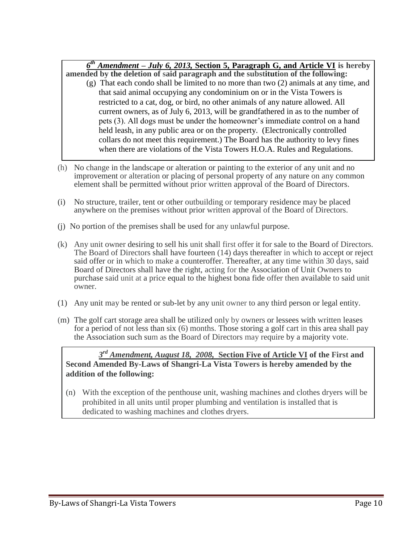*6 th Amendment – July 6, 2013,* **Section 5, Paragraph G, and Article VI is hereby** 

- **amended by the deletion of said paragraph and the substitution of the following:** (g) That each condo shall be limited to no more than two (2) animals at any time, and that said animal occupying any condominium on or in the Vista Towers is restricted to a cat, dog, or bird, no other animals of any nature allowed. All current owners, as of July 6, 2013, will be grandfathered in as to the number of pets (3). All dogs must be under the homeowner's immediate control on a hand held leash, in any public area or on the property. (Electronically controlled collars do not meet this requirement.) The Board has the authority to levy fines when there are violations of the Vista Towers H.O.A. Rules and Regulations.
- (h) No change in the landscape or alteration or painting to the exterior of any unit and no improvement or alteration or placing of personal property of any nature on any common element shall be permitted without prior written approval of the Board of Directors.
- (i) No structure, trailer, tent or other outbuilding or temporary residence may be placed anywhere on the premises without prior written approval of the Board of Directors.
- (j) No portion of the premises shall be used for any unlawful purpose.
- (k) Any unit owner desiring to sell his unit shall first offer it for sale to the Board of Directors. The Board of Directors shall have fourteen (14) days thereafter in which to accept or reject said offer or in which to make a counteroffer. Thereafter, at any time within 30 days, said Board of Directors shall have the right, acting for the Association of Unit Owners to purchase said unit at a price equal to the highest bona fide offer then available to said unit owner.
- (1) Any unit may be rented or sub-let by any unit owner to any third person or legal entity.
- (m) The golf cart storage area shall be utilized only by owners or lessees with written leases for a period of not less than six (6) months. Those storing a golf cart in this area shall pay the Association such sum as the Board of Directors may require by a majority vote.

#### *3 rd Amendment, August 18, 2008,* **Section Five of Article VI of the First and Second Amended By-Laws of Shangri-La Vista Towers is hereby amended by the addition of the following:**

(n) With the exception of the penthouse unit, washing machines and clothes dryers will be prohibited in all units until proper plumbing and ventilation is installed that is dedicated to washing machines and clothes dryers.